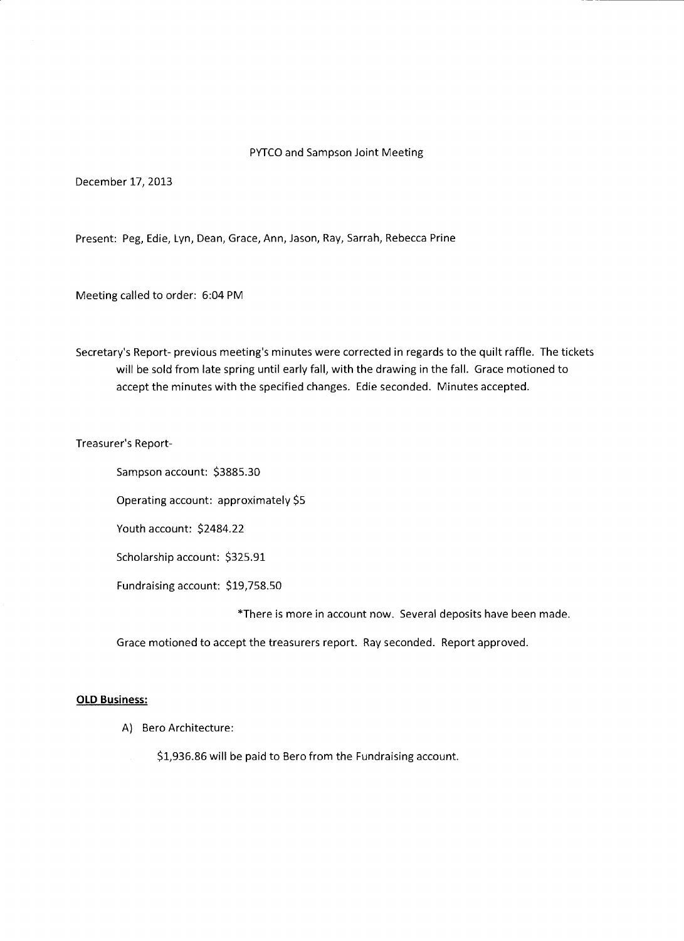### PYTCO and Sampson Joint Meeting

December 17, 2013

Present: Peg, Edie, Lyn, Dean, Grace, Ann, Jason, Ray, Sarrah, Rebecca Prine

Meeting called to order: 6:04 PM

Secretary's Report- previous meeting's minutes were corrected in regards to the quilt raffle. The tickets will be sold from late spring until early fall, with the drawing in the fall. Grace motioned to accept the minutes with the specified changes. Edie seconded. Minutes accepted.

Treasurer's Report-

Sampson account: \$3885.30

Operating account: approximately \$5

Youth account: \$2484.22

Scholarship account: \$325.91

Fundraising account: \$19,758.50

\*There is more in account now. Several deposits have been made.

Grace motioned to accept the treasurers report. Ray seconded. Report approved.

### **OLD Business:**

A) Bero Architecture:

\$1,936.86 will be paid to Bero from the Fundraising account.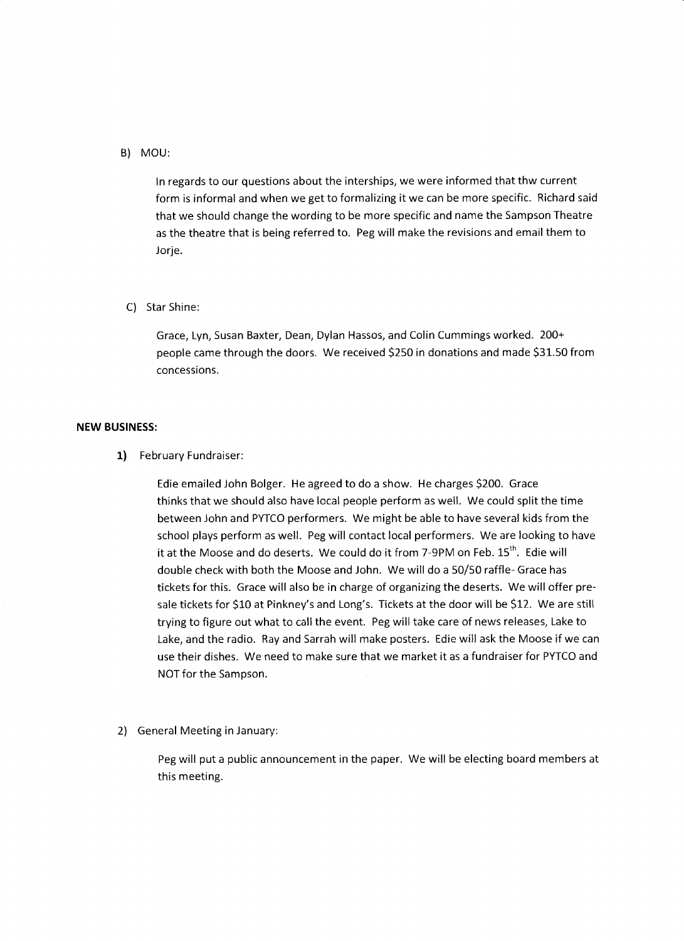## B) MOU:

In regards to our questions about the interships, we were informed that thw current form is informal and when we get to formalizing it we can be more specific. Richard said that we should change the wording to be more specific and name the Sampson Theatre as the theatre that is being referred to. Peg will make the revisions and email them to Jorje.

## C) Star Shine:

Grace, Lyn, Susan Baxter, Dean, Dylan Hassos, and Colin Cummings worked. 200+ people came through the doors. We received \$250 in donations and made \$31.50 from concessions.

## **NEW BUSINESS:**

**1)** February Fundraiser:

Edie emailed John Bolger. He agreed to do a show. He charges \$200. Grace thinks that we should also have local people perform as well. We could split the time between John and PYTCO performers. We might be able to have several kids from the school plays perform as well. Peg will contact local performers. We are looking to have it at the Moose and do deserts. We could do it from 7-9PM on Feb. 15<sup>th</sup>. Edie will double check with both the Moose and John. We will do a 50/50 raffle- Grace has tickets for this. Grace will also be in charge of organizing the deserts. We will offer presale tickets for \$10 at Pinkney's and Long's. Tickets at the door will be \$12. We are still trying to figure out what to call the event. Peg will take care of news releases, Lake to Lake, and the radio. Ray and Sarrah will make posters. Edie will ask the Moose if we can use their dishes. We need to make sure that we market it as a fundraiser for PYTCO and NOT for the Sampson.

2) General Meeting in January:

Peg will put a public announcement in the paper. We will be electing board members at this meeting.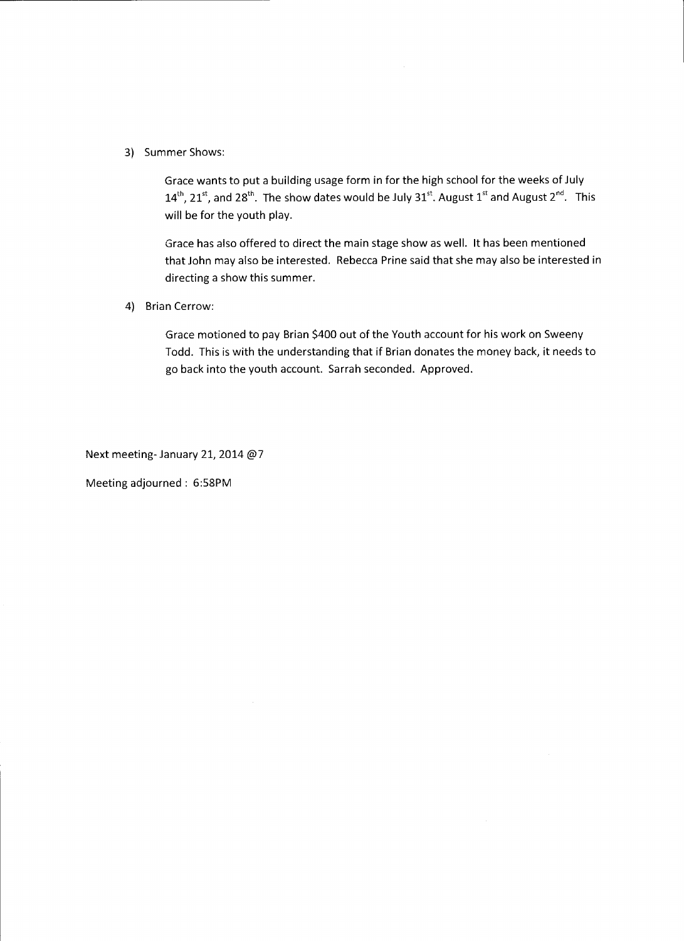3) Summer Shows:

Grace wants to put a building usage form in for the high school for the weeks of July  $14^{th}$ ,  $21^{st}$ , and  $28^{th}$ . The show dates would be July  $31^{st}$ . August  $1^{st}$  and August  $2^{nd}$ . This will be for the youth play.

Grace has also offered to direct the main stage show as well. It has been mentioned that John may also be interested. Rebecca Prine said that she may also be interested in directing a show this summer.

4) Brian Cerrow:

Grace motioned to pay Brian \$400 out of the Youth account for his work on Sweeny Todd. This is with the understanding that if Brian donates the money back, it needs to go back into the youth account. Sarrah seconded. Approved.

Next meeting- January 21, 2014 @7

Meeting adjourned : 6:58PM